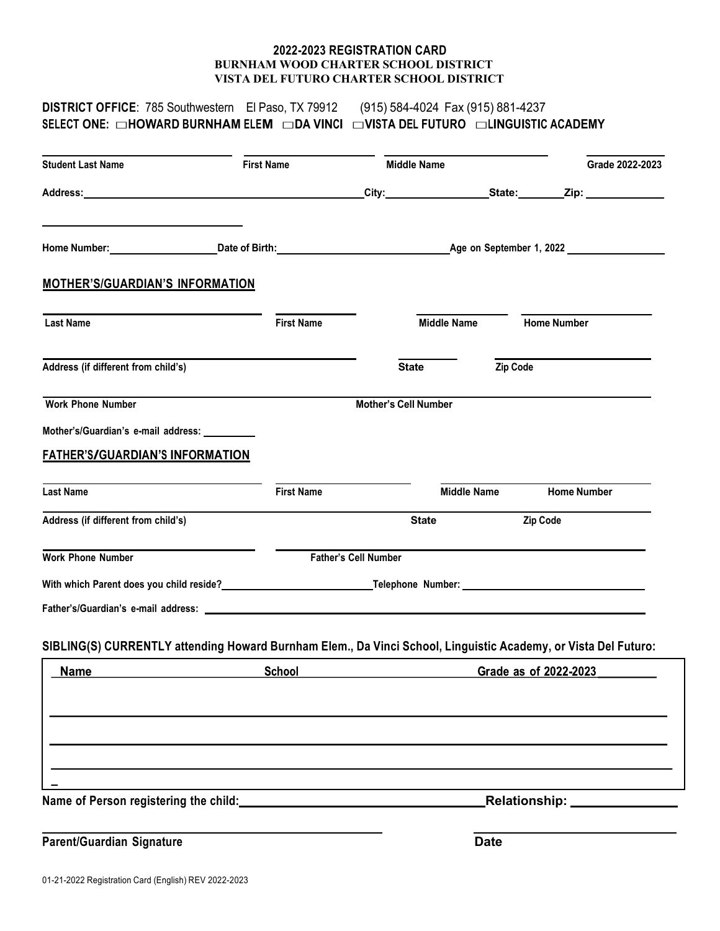## **2022-2023 REGISTRATION CARD BURNHAM WOOD CHARTER SCHOOL DISTRICT VISTA DEL FUTURO CHARTER SCHOOL DISTRICT**

| <b>DISTRICT OFFICE:</b> 785 Southwestern El Paso, TX 79912 (915) 584-4024 Fax (915) 881-4237<br>SELECT ONE: □HOWARD BURNHAM ELEM □DA VINCI □VISTA DEL FUTURO □LINGUISTIC ACADEMY |                                                                                           |                             |                    |                       |                               |
|----------------------------------------------------------------------------------------------------------------------------------------------------------------------------------|-------------------------------------------------------------------------------------------|-----------------------------|--------------------|-----------------------|-------------------------------|
| <b>Student Last Name</b>                                                                                                                                                         | <b>First Name</b>                                                                         | <b>Middle Name</b>          |                    |                       | Grade 2022-2023               |
|                                                                                                                                                                                  |                                                                                           |                             |                    |                       |                               |
| Home Number: Communication Communication Communication Communication Communication Communication Communication                                                                   |                                                                                           |                             |                    |                       |                               |
| <b>MOTHER'S/GUARDIAN'S INFORMATION</b>                                                                                                                                           |                                                                                           |                             |                    |                       |                               |
| <b>Last Name</b>                                                                                                                                                                 | <b>First Name</b>                                                                         |                             | <b>Middle Name</b> | <b>Home Number</b>    |                               |
| Address (if different from child's)                                                                                                                                              |                                                                                           | <b>State</b>                |                    | Zip Code              |                               |
| <b>Work Phone Number</b>                                                                                                                                                         |                                                                                           | <b>Mother's Cell Number</b> |                    |                       |                               |
| Mother's/Guardian's e-mail address: __________                                                                                                                                   |                                                                                           |                             |                    |                       |                               |
| <u>FATHER'S/GUARDIAN'S INFORMATION</u>                                                                                                                                           |                                                                                           |                             |                    |                       |                               |
| <b>Last Name</b>                                                                                                                                                                 | <b>First Name</b>                                                                         |                             | <b>Middle Name</b> |                       | <b>Home Number</b>            |
| Address (if different from child's)                                                                                                                                              |                                                                                           | <b>State</b>                |                    | Zip Code              |                               |
| <b>Work Phone Number</b>                                                                                                                                                         |                                                                                           | Father's Cell Number        |                    |                       |                               |
|                                                                                                                                                                                  |                                                                                           |                             |                    |                       |                               |
|                                                                                                                                                                                  |                                                                                           |                             |                    |                       |                               |
| SIBLING(S) CURRENTLY attending Howard Burnham Elem., Da Vinci School, Linguistic Academy, or Vista Del Futuro:                                                                   |                                                                                           |                             |                    |                       |                               |
| <b>Name</b>                                                                                                                                                                      | <b>School</b>                                                                             |                             |                    | Grade as of 2022-2023 |                               |
|                                                                                                                                                                                  |                                                                                           |                             |                    |                       |                               |
|                                                                                                                                                                                  |                                                                                           |                             |                    |                       |                               |
|                                                                                                                                                                                  |                                                                                           |                             |                    |                       |                               |
|                                                                                                                                                                                  | the control of the control of the control of the control of the control of the control of |                             |                    |                       |                               |
|                                                                                                                                                                                  |                                                                                           |                             |                    |                       | Relationship: _______________ |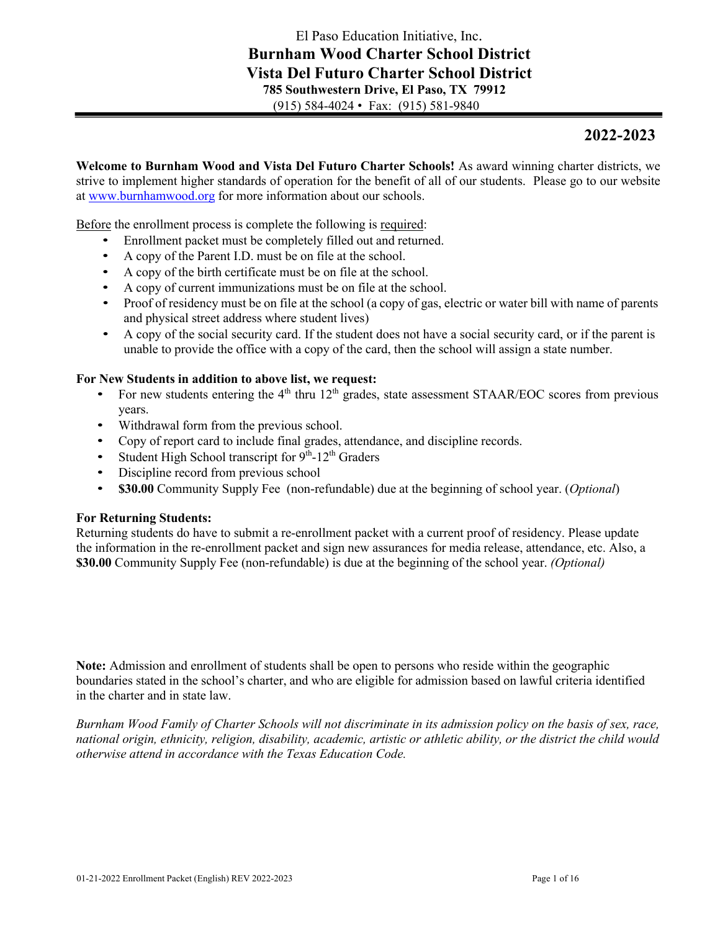# **2022-2023**

**Welcome to Burnham Wood and Vista Del Futuro Charter Schools!** As award winning charter districts, we strive to implement higher standards of operation for the benefit of all of our students. Please go to our website at www.burnhamwood.org for more information about our schools.

Before the enrollment process is complete the following is required:

- Enrollment packet must be completely filled out and returned.
- A copy of the Parent I.D. must be on file at the school.
- A copy of the birth certificate must be on file at the school.
- A copy of current immunizations must be on file at the school.
- Proof of residency must be on file at the school (a copy of gas, electric or water bill with name of parents and physical street address where student lives)
- A copy of the social security card. If the student does not have a social security card, or if the parent is unable to provide the office with a copy of the card, then the school will assign a state number.

## **For New Students in addition to above list, we request:**

- For new students entering the  $4<sup>th</sup>$  thru 12<sup>th</sup> grades, state assessment STAAR/EOC scores from previous years.
- Withdrawal form from the previous school.
- Copy of report card to include final grades, attendance, and discipline records.
- Student High School transcript for  $9<sup>th</sup>$ -12<sup>th</sup> Graders
- Discipline record from previous school
- **\$30.00** Community Supply Fee (non-refundable) due at the beginning of school year. (*Optional*)

### **For Returning Students:**

Returning students do have to submit a re-enrollment packet with a current proof of residency. Please update the information in the re-enrollment packet and sign new assurances for media release, attendance, etc. Also, a **\$30.00** Community Supply Fee (non-refundable) is due at the beginning of the school year. *(Optional)*

**Note:** Admission and enrollment of students shall be open to persons who reside within the geographic boundaries stated in the school's charter, and who are eligible for admission based on lawful criteria identified in the charter and in state law.

*Burnham Wood Family of Charter Schools will not discriminate in its admission policy on the basis of sex, race, national origin, ethnicity, religion, disability, academic, artistic or athletic ability, or the district the child would otherwise attend in accordance with the Texas Education Code.*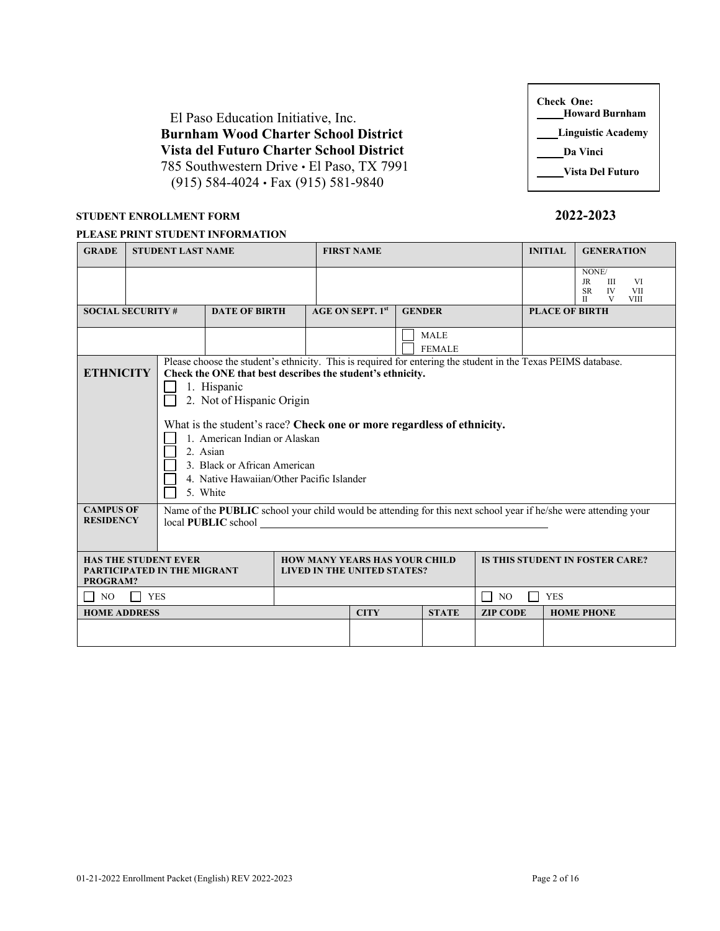El Paso Education Initiative, Inc. **Burnham Wood Charter School District Vista del Futuro Charter School District**  785 Southwestern Drive • El Paso, TX 7991 (915) 584-4024 • Fax (915) 581-9840

# **STUDENT ENROLLMENT FORM 2022-2023**

### **PLEASE PRINT STUDENT INFORMATION**

| <b>GRADE</b>             |                                                                                                                                                                                                                                                                                                                                                                                                                                                             | <b>STUDENT LAST NAME</b> |                      |  | <b>FIRST NAME</b>       |  |                              |                                        | <b>INITIAL</b>        | <b>GENERATION</b>                                                                                                            |
|--------------------------|-------------------------------------------------------------------------------------------------------------------------------------------------------------------------------------------------------------------------------------------------------------------------------------------------------------------------------------------------------------------------------------------------------------------------------------------------------------|--------------------------|----------------------|--|-------------------------|--|------------------------------|----------------------------------------|-----------------------|------------------------------------------------------------------------------------------------------------------------------|
|                          |                                                                                                                                                                                                                                                                                                                                                                                                                                                             |                          |                      |  |                         |  |                              |                                        |                       | NONE/<br>$\ensuremath{\mathsf{J}\mathsf{R}}$<br>Ш<br>VI<br>IV<br><b>SR</b><br><b>VII</b><br>$\mathbf{I}$<br>V<br><b>VIII</b> |
| <b>SOCIAL SECURITY #</b> |                                                                                                                                                                                                                                                                                                                                                                                                                                                             |                          | <b>DATE OF BIRTH</b> |  | <b>AGE ON SEPT. 1st</b> |  | <b>GENDER</b>                |                                        | <b>PLACE OF BIRTH</b> |                                                                                                                              |
|                          |                                                                                                                                                                                                                                                                                                                                                                                                                                                             |                          |                      |  |                         |  | <b>MALE</b><br><b>FEMALE</b> |                                        |                       |                                                                                                                              |
|                          | Please choose the student's ethnicity. This is required for entering the student in the Texas PEIMS database.<br><b>ETHNICITY</b><br>Check the ONE that best describes the student's ethnicity.<br>1. Hispanic<br>2. Not of Hispanic Origin<br>What is the student's race? Check one or more regardless of ethnicity.<br>1. American Indian or Alaskan<br>2. Asian<br>3. Black or African American<br>4. Native Hawaiian/Other Pacific Islander<br>5. White |                          |                      |  |                         |  |                              |                                        |                       |                                                                                                                              |
|                          | Name of the PUBLIC school your child would be attending for this next school year if he/she were attending your<br><b>CAMPUS OF</b><br><b>RESIDENCY</b><br>local PUBLIC school                                                                                                                                                                                                                                                                              |                          |                      |  |                         |  |                              |                                        |                       |                                                                                                                              |
| PROGRAM?                 | <b>HAS THE STUDENT EVER</b><br><b>HOW MANY YEARS HAS YOUR CHILD</b><br>PARTICIPATED IN THE MIGRANT<br><b>LIVED IN THE UNITED STATES?</b>                                                                                                                                                                                                                                                                                                                    |                          |                      |  |                         |  |                              | <b>IS THIS STUDENT IN FOSTER CARE?</b> |                       |                                                                                                                              |
| NO.<br>$\Box$            | <b>YES</b>                                                                                                                                                                                                                                                                                                                                                                                                                                                  |                          |                      |  |                         |  |                              | $\vert$ NO                             | <b>YES</b>            |                                                                                                                              |
| <b>HOME ADDRESS</b>      |                                                                                                                                                                                                                                                                                                                                                                                                                                                             |                          |                      |  | <b>CITY</b>             |  | <b>STATE</b>                 | <b>ZIP CODE</b>                        |                       | <b>HOME PHONE</b>                                                                                                            |
|                          |                                                                                                                                                                                                                                                                                                                                                                                                                                                             |                          |                      |  |                         |  |                              |                                        |                       |                                                                                                                              |

| <b>Check One:</b><br><b>Howard Burnham</b> |
|--------------------------------------------|
| <b>Linguistic Academy</b>                  |
| Da Vinci                                   |
| Vista Del Futuro                           |

Г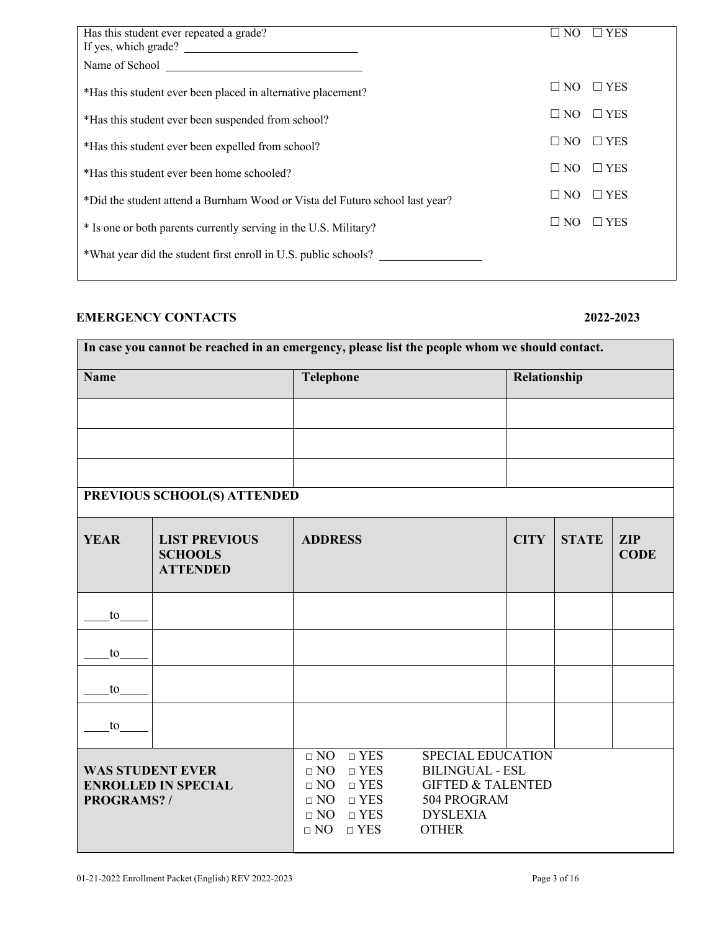| Has this student ever repeated a grade?                                      | $\square$ NO | $\square$ YES |
|------------------------------------------------------------------------------|--------------|---------------|
| If yes, which grade?                                                         |              |               |
|                                                                              |              |               |
| *Has this student ever been placed in alternative placement?                 | $\Box$ NO    | $\Box$ YES    |
| *Has this student ever been suspended from school?                           | $\square$ NO | $\Box$ YES    |
| *Has this student ever been expelled from school?                            | $\square$ NO | $\Box$ YES    |
| *Has this student ever been home schooled?                                   | $\square$ NO | $\Box$ YES    |
| *Did the student attend a Burnham Wood or Vista del Futuro school last year? | $\square$ NO | $\Box$ YES    |
| * Is one or both parents currently serving in the U.S. Military?             | $\square$ NO | $\Box$ YES    |
| *What year did the student first enroll in U.S. public schools?              |              |               |
|                                                                              |              |               |

# **EMERGENCY CONTACTS 2022-2023**

| In case you cannot be reached in an emergency, please list the people whom we should contact. |                                                           |                                                                                                                                                             |                                                                                                                                      |              |              |                           |
|-----------------------------------------------------------------------------------------------|-----------------------------------------------------------|-------------------------------------------------------------------------------------------------------------------------------------------------------------|--------------------------------------------------------------------------------------------------------------------------------------|--------------|--------------|---------------------------|
| <b>Name</b>                                                                                   |                                                           | <b>Telephone</b>                                                                                                                                            |                                                                                                                                      | Relationship |              |                           |
|                                                                                               |                                                           |                                                                                                                                                             |                                                                                                                                      |              |              |                           |
|                                                                                               |                                                           |                                                                                                                                                             |                                                                                                                                      |              |              |                           |
|                                                                                               |                                                           |                                                                                                                                                             |                                                                                                                                      |              |              |                           |
|                                                                                               | PREVIOUS SCHOOL(S) ATTENDED                               |                                                                                                                                                             |                                                                                                                                      |              |              |                           |
| <b>YEAR</b>                                                                                   | <b>LIST PREVIOUS</b><br><b>SCHOOLS</b><br><b>ATTENDED</b> | <b>ADDRESS</b>                                                                                                                                              |                                                                                                                                      | <b>CITY</b>  | <b>STATE</b> | <b>ZIP</b><br><b>CODE</b> |
| to                                                                                            |                                                           |                                                                                                                                                             |                                                                                                                                      |              |              |                           |
| to                                                                                            |                                                           |                                                                                                                                                             |                                                                                                                                      |              |              |                           |
| to                                                                                            |                                                           |                                                                                                                                                             |                                                                                                                                      |              |              |                           |
| to                                                                                            |                                                           |                                                                                                                                                             |                                                                                                                                      |              |              |                           |
| <b>WAS STUDENT EVER</b><br>PROGRAMS?/                                                         | <b>ENROLLED IN SPECIAL</b>                                | $\Box$ NO<br>$\Box$ YES<br>$\Box$ YES<br>$\Box$ NO<br>$\Box$ YES<br>$\Box$ NO<br>$\Box$ YES<br>$\Box$ NO<br>$\Box$ NO $\Box$ YES<br>$\Box$ YES<br>$\Box$ NO | <b>SPECIAL EDUCATION</b><br><b>BILINGUAL - ESL</b><br><b>GIFTED &amp; TALENTED</b><br>504 PROGRAM<br><b>DYSLEXIA</b><br><b>OTHER</b> |              |              |                           |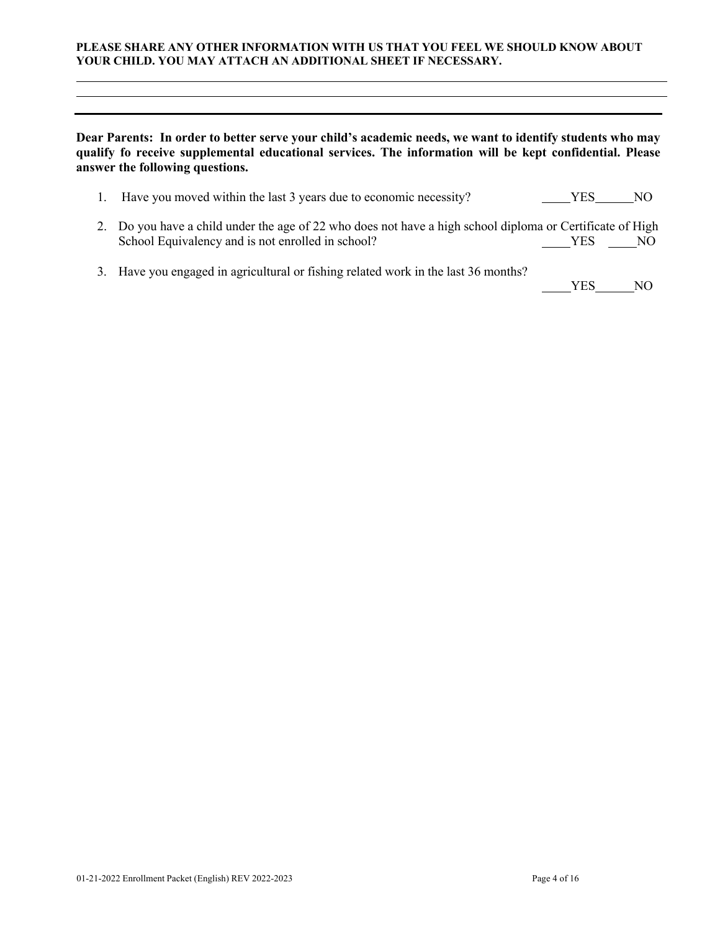### **PLEASE SHARE ANY OTHER INFORMATION WITH US THAT YOU FEEL WE SHOULD KNOW ABOUT YOUR CHILD. YOU MAY ATTACH AN ADDITIONAL SHEET IF NECESSARY.**

## **Dear Parents: In order to better serve your child's academic needs, we want to identify students who may qualify fo receive supplemental educational services. The information will be kept confidential. Please answer the following questions.**

| 1. Have you moved within the last 3 years due to economic necessity?                                                                                           | YES.  | NO. |
|----------------------------------------------------------------------------------------------------------------------------------------------------------------|-------|-----|
| 2. Do you have a child under the age of 22 who does not have a high school diploma or Certificate of High<br>School Equivalency and is not enrolled in school? | YES - | NO  |

3. Have you engaged in agricultural or fishing related work in the last 36 months?

YES NO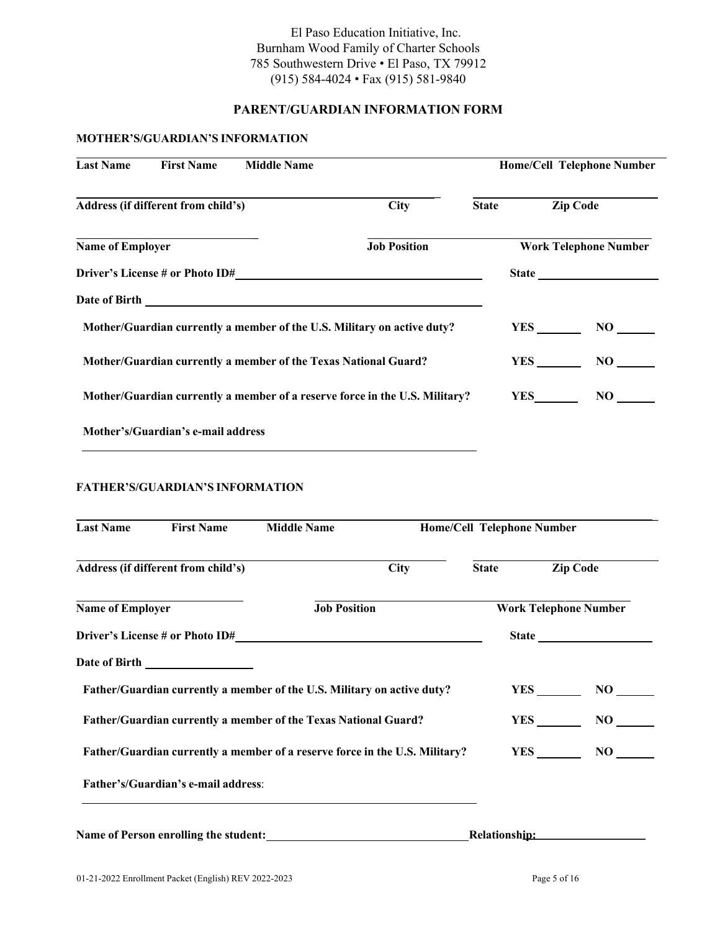# El Paso Education Initiative, Inc. Burnham Wood Family of Charter Schools 785 Southwestern Drive • El Paso, TX 79912 (915) 584-4024 • Fax (915) 581-9840

# **PARENT/GUARDIAN INFORMATION FORM**

# **MOTHER'S/GUARDIAN'S INFORMATION**

| <b>Last Name</b>                                                            | <b>First Name</b>                   | <b>Middle Name</b> |                     |              |            | <b>Home/Cell Telephone Number</b> |
|-----------------------------------------------------------------------------|-------------------------------------|--------------------|---------------------|--------------|------------|-----------------------------------|
|                                                                             | Address (if different from child's) |                    | <b>City</b>         | <b>State</b> |            | <b>Zip Code</b>                   |
| <b>Name of Employer</b>                                                     |                                     |                    | <b>Job Position</b> |              |            | <b>Work Telephone Number</b>      |
|                                                                             |                                     |                    |                     |              |            |                                   |
|                                                                             |                                     |                    |                     |              |            |                                   |
| Mother/Guardian currently a member of the U.S. Military on active duty?     |                                     |                    |                     |              |            | NO                                |
| Mother/Guardian currently a member of the Texas National Guard?             |                                     |                    |                     |              |            | NO                                |
| Mother/Guardian currently a member of a reserve force in the U.S. Military? |                                     |                    |                     |              | <b>YES</b> | NO –                              |
|                                                                             | Mother's/Guardian's e-mail address  |                    |                     |              |            |                                   |

## **FATHER'S/GUARDIAN'S INFORMATION**

| <b>Last Name</b>                                                            | <b>First Name</b>                     | <b>Middle Name</b>                                                      |             | <b>Home/Cell Telephone Number</b> |                              |
|-----------------------------------------------------------------------------|---------------------------------------|-------------------------------------------------------------------------|-------------|-----------------------------------|------------------------------|
|                                                                             | Address (if different from child's)   |                                                                         | <b>City</b> | <b>State</b>                      | <b>Zip Code</b>              |
| <b>Name of Employer</b>                                                     |                                       | <b>Job Position</b>                                                     |             |                                   | <b>Work Telephone Number</b> |
|                                                                             |                                       |                                                                         |             |                                   | State <u>state</u>           |
|                                                                             |                                       |                                                                         |             |                                   |                              |
|                                                                             |                                       | Father/Guardian currently a member of the U.S. Military on active duty? |             |                                   | $YES$ NO                     |
| Father/Guardian currently a member of the Texas National Guard?             |                                       |                                                                         |             |                                   | NO                           |
| Father/Guardian currently a member of a reserve force in the U.S. Military? |                                       |                                                                         |             |                                   | $\bf NO$                     |
|                                                                             | Father's/Guardian's e-mail address:   |                                                                         |             |                                   |                              |
|                                                                             | Name of Person enrolling the student: |                                                                         |             | Relationship:                     |                              |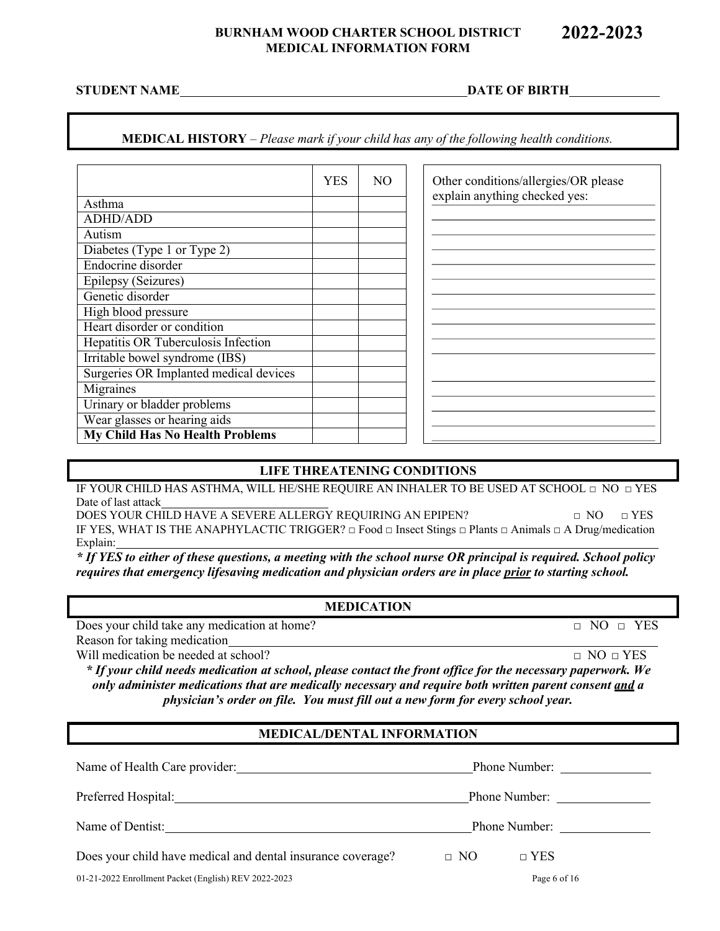## **BURNHAM WOOD CHARTER SCHOOL DISTRICT MEDICAL INFORMATION FORM**

## **MEDICAL HISTORY** – *Please mark if your child has any of the following health conditions.*

|                                        | <b>YES</b> | NO. | Other conditions/allergies/OR please |
|----------------------------------------|------------|-----|--------------------------------------|
| Asthma                                 |            |     | explain anything checked yes:        |
| <b>ADHD/ADD</b>                        |            |     |                                      |
| Autism                                 |            |     |                                      |
| Diabetes (Type 1 or Type 2)            |            |     |                                      |
| Endocrine disorder                     |            |     |                                      |
| Epilepsy (Seizures)                    |            |     |                                      |
| Genetic disorder                       |            |     |                                      |
| High blood pressure                    |            |     |                                      |
| Heart disorder or condition            |            |     |                                      |
| Hepatitis OR Tuberculosis Infection    |            |     |                                      |
| Irritable bowel syndrome (IBS)         |            |     |                                      |
| Surgeries OR Implanted medical devices |            |     |                                      |
| Migraines                              |            |     |                                      |
| Urinary or bladder problems            |            |     |                                      |
| Wear glasses or hearing aids           |            |     |                                      |
| <b>My Child Has No Health Problems</b> |            |     |                                      |

### **LIFE THREATENING CONDITIONS**

IF YOUR CHILD HAS ASTHMA, WILL HE/SHE REQUIRE AN INHALER TO BE USED AT SCHOOL □ NO □ YES Date of last attack

DOES YOUR CHILD HAVE A SEVERE ALLERGY REQUIRING AN EPIPEN? □ NO □ YES IF YES, WHAT IS THE ANAPHYLACTIC TRIGGER? □ Food □ Insect Stings □ Plants □ Animals □ A Drug/medication Explain:

*\* If YES to either of these questions, a meeting with the school nurse OR principal is required. School policy requires that emergency lifesaving medication and physician orders are in place prior to starting school.*

## **MEDICATION**

Does your child take any medication at home?  $\Box$  NO  $\Box$  YES

Reason for taking medication

Will medication be needed at school?  $\Box$  NO  $\Box$  YES

*\* If your child needs medication at school, please contact the front office for the necessary paperwork. We only administer medications that are medically necessary and require both written parent consent and a physician's order on file. You must fill out a new form for every school year.*

## **MEDICAL/DENTAL INFORMATION**

| Name of Health Care provider:                                                                                                                                                                                                  | Phone Number:           |  |
|--------------------------------------------------------------------------------------------------------------------------------------------------------------------------------------------------------------------------------|-------------------------|--|
| Preferred Hospital: National Association of the Contractor of the Contractor of the Contractor of the Contractor of the Contractor of the Contractor of the Contractor of the Contractor of the Contractor of the Contractor o |                         |  |
| Name of Dentist:                                                                                                                                                                                                               | Phone Number:           |  |
| Does your child have medical and dental insurance coverage?                                                                                                                                                                    | $\Box$ YES<br>$\Box$ NO |  |
| 01-21-2022 Enrollment Packet (English) REV 2022-2023                                                                                                                                                                           | Page 6 of 16            |  |

**2022-2023** 

**STUDENT NAME DATE OF BIRTH**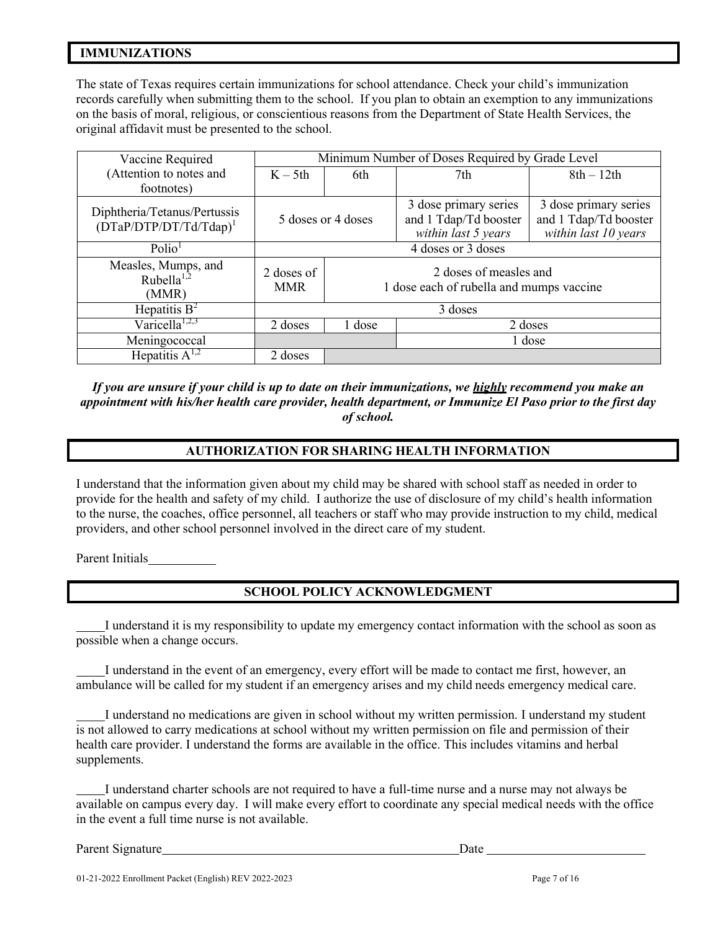# **IMMUNIZATIONS**

The state of Texas requires certain immunizations for school attendance. Check your child's immunization records carefully when submitting them to the school. If you plan to obtain an exemption to any immunizations on the basis of moral, religious, or conscientious reasons from the Department of State Health Services, the original affidavit must be presented to the school.

| Vaccine Required                                          | Minimum Number of Doses Required by Grade Level                                                |                   |                                                                       |                                                                        |
|-----------------------------------------------------------|------------------------------------------------------------------------------------------------|-------------------|-----------------------------------------------------------------------|------------------------------------------------------------------------|
| (Attention to notes and                                   | $K - 5th$                                                                                      | 6th               | 7th                                                                   | $8th-12th$                                                             |
| footnotes)                                                |                                                                                                |                   |                                                                       |                                                                        |
| Diphtheria/Tetanus/Pertussis<br>$(DTaP/DTP/DT/Td/Tdap)^1$ | 5 doses or 4 doses                                                                             |                   | 3 dose primary series<br>and 1 Tdap/Td booster<br>within last 5 years | 3 dose primary series<br>and 1 Tdap/Td booster<br>within last 10 years |
| Polio <sup>1</sup>                                        | 4 doses or 3 doses                                                                             |                   |                                                                       |                                                                        |
| Measles, Mumps, and<br>Rubella $^{1,2}$<br>(MMR)          | 2 doses of measles and<br>2 doses of<br>1 dose each of rubella and mumps vaccine<br><b>MMR</b> |                   |                                                                       |                                                                        |
| Hepatitis $B^2$                                           | 3 doses                                                                                        |                   |                                                                       |                                                                        |
| Varicella <sup>1,2,3</sup>                                | 2 doses                                                                                        | 1 dose<br>2 doses |                                                                       |                                                                        |
| Meningococcal                                             |                                                                                                |                   |                                                                       | 1 dose                                                                 |
| Hepatitis $A^{1,2}$                                       | 2 doses                                                                                        |                   |                                                                       |                                                                        |

*If you are unsure if your child is up to date on their immunizations, we highly recommend you make an appointment with his/her health care provider, health department, or Immunize El Paso prior to the first day of school.*

## **AUTHORIZATION FOR SHARING HEALTH INFORMATION**

I understand that the information given about my child may be shared with school staff as needed in order to provide for the health and safety of my child. I authorize the use of disclosure of my child's health information to the nurse, the coaches, office personnel, all teachers or staff who may provide instruction to my child, medical providers, and other school personnel involved in the direct care of my student.

Parent Initials

# **SCHOOL POLICY ACKNOWLEDGMENT**

 I understand it is my responsibility to update my emergency contact information with the school as soon as possible when a change occurs.

 I understand in the event of an emergency, every effort will be made to contact me first, however, an ambulance will be called for my student if an emergency arises and my child needs emergency medical care.

 I understand no medications are given in school without my written permission. I understand my student is not allowed to carry medications at school without my written permission on file and permission of their health care provider. I understand the forms are available in the office. This includes vitamins and herbal supplements.

 I understand charter schools are not required to have a full-time nurse and a nurse may not always be available on campus every day. I will make every effort to coordinate any special medical needs with the office in the event a full time nurse is not available.

Parent Signature Date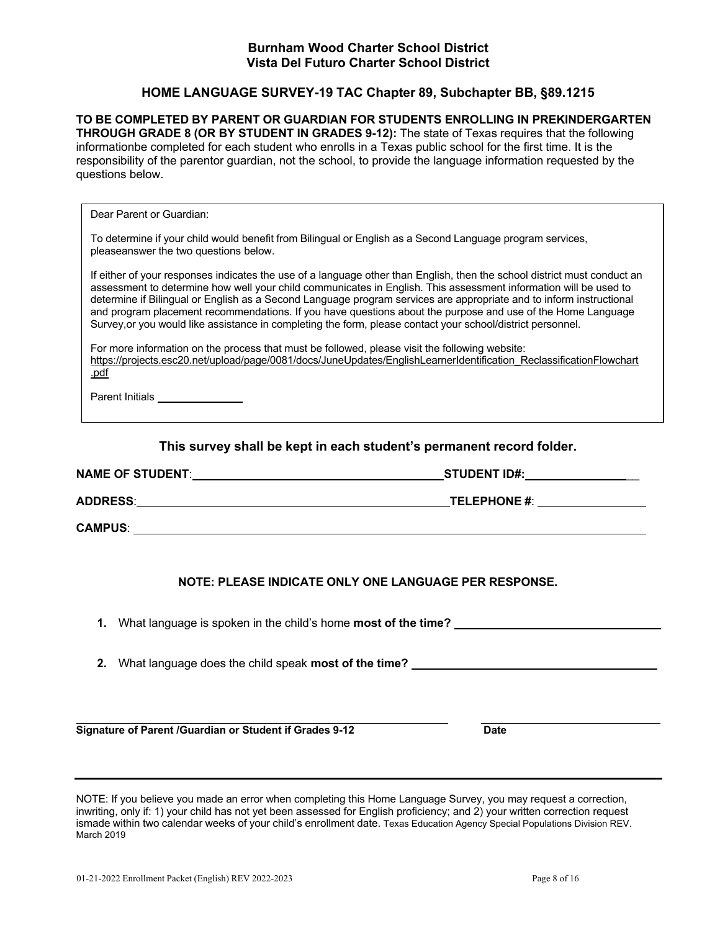## **Burnham Wood Charter School District Vista Del Futuro Charter School District**

# **HOME LANGUAGE SURVEY-19 TAC Chapter 89, Subchapter BB, §89.1215**

**TO BE COMPLETED BY PARENT OR GUARDIAN FOR STUDENTS ENROLLING IN PREKINDERGARTEN THROUGH GRADE 8 (OR BY STUDENT IN GRADES 9-12):** The state of Texas requires that the following informationbe completed for each student who enrolls in a Texas public school for the first time. It is the responsibility of the parentor guardian, not the school, to provide the language information requested by the questions below.

Dear Parent or Guardian:

To determine if your child would benefit from Bilingual or English as a Second Language program services, pleaseanswer the two questions below.

If either of your responses indicates the use of a language other than English, then the school district must conduct an assessment to determine how well your child communicates in English. This assessment information will be used to determine if Bilingual or English as a Second Language program services are appropriate and to inform instructional and program placement recommendations. If you have questions about the purpose and use of the Home Language Survey,or you would like assistance in completing the form, please contact your school/district personnel.

For more information on the process that must be followed, please visit the following website: https://projects.esc20.net/upload/page/0081/docs/JuneUpdates/EnglishLearnerIdentification\_ReclassificationFlowchart .pdf

Parent Initials

**This survey shall be kept in each student's permanent record folder.**

| <b>NAME OF STUDENT:</b> | <b>STUDENT ID#:</b> |
|-------------------------|---------------------|
| <b>ADDRESS:</b>         | <b>TELEPHONE #:</b> |
| <b>CAMPUS:</b>          |                     |

## **NOTE: PLEASE INDICATE ONLY ONE LANGUAGE PER RESPONSE.**

**1.** What language is spoken in the child's home **most of the time?**

**2.** What language does the child speak **most of the time?** 

**Signature of Parent /Guardian or Student if Grades 9-12 Date**

NOTE: If you believe you made an error when completing this Home Language Survey, you may request a correction, inwriting, only if: 1) your child has not yet been assessed for English proficiency; and 2) your written correction request ismade within two calendar weeks of your child's enrollment date. Texas Education Agency Special Populations Division REV. March 2019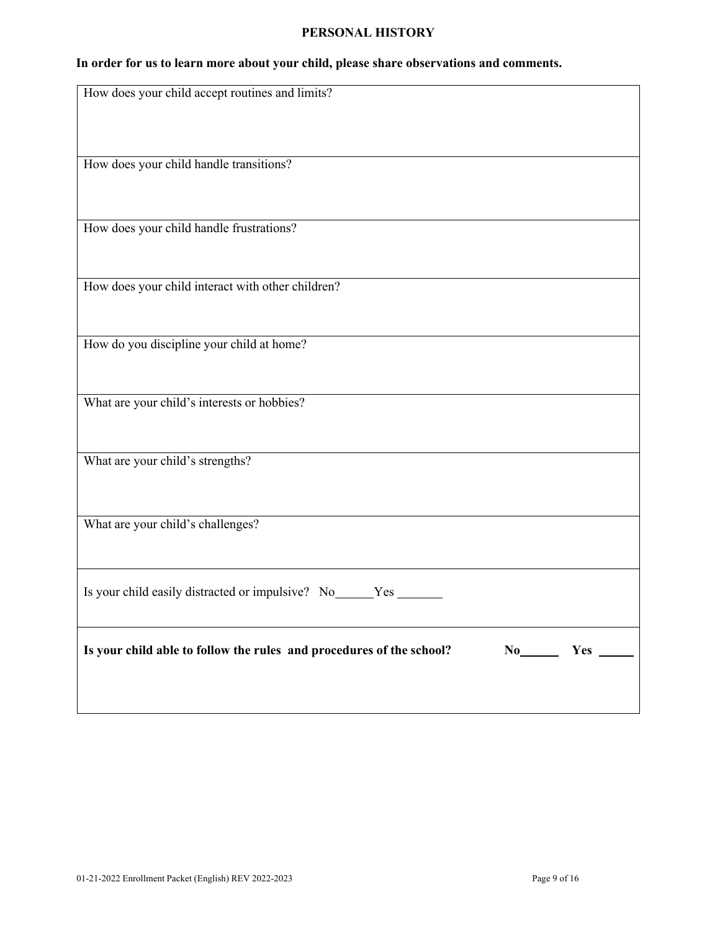## **PERSONAL HISTORY**

# **In order for us to learn more about your child, please share observations and comments.**

| How does your child accept routines and limits?                                |
|--------------------------------------------------------------------------------|
|                                                                                |
|                                                                                |
|                                                                                |
|                                                                                |
| How does your child handle transitions?                                        |
|                                                                                |
|                                                                                |
|                                                                                |
| How does your child handle frustrations?                                       |
|                                                                                |
|                                                                                |
|                                                                                |
| How does your child interact with other children?                              |
|                                                                                |
|                                                                                |
| How do you discipline your child at home?                                      |
|                                                                                |
|                                                                                |
|                                                                                |
| What are your child's interests or hobbies?                                    |
|                                                                                |
|                                                                                |
|                                                                                |
| What are your child's strengths?                                               |
|                                                                                |
|                                                                                |
|                                                                                |
| What are your child's challenges?                                              |
|                                                                                |
|                                                                                |
|                                                                                |
| Is your child easily distracted or impulsive? No _____ Yes ___                 |
|                                                                                |
|                                                                                |
|                                                                                |
| Is your child able to follow the rules and procedures of the school?<br>No Yes |
|                                                                                |
|                                                                                |
|                                                                                |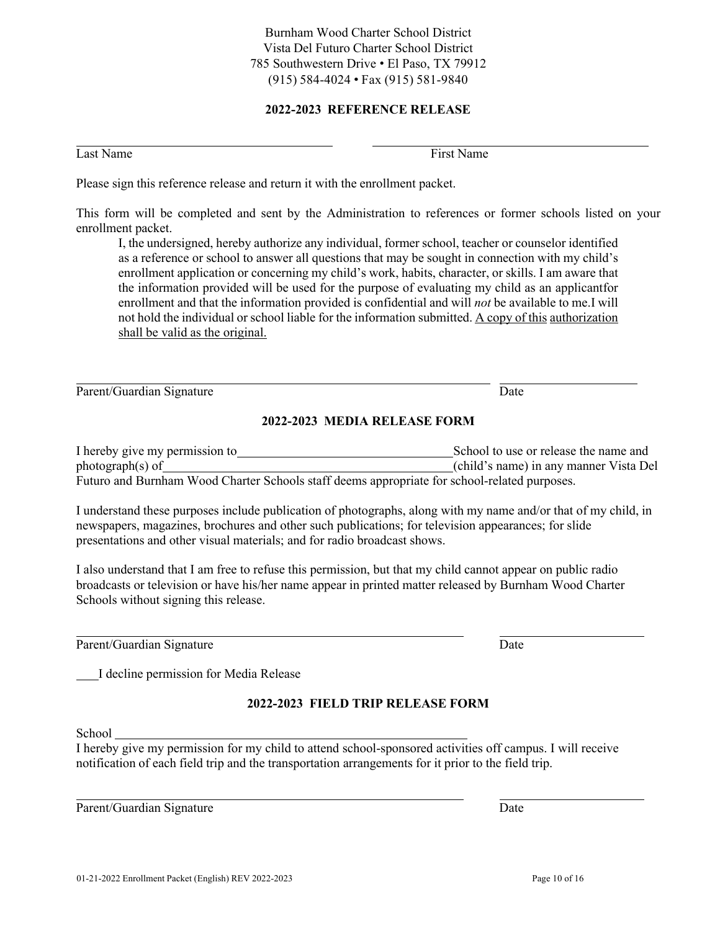Burnham Wood Charter School District Vista Del Futuro Charter School District 785 Southwestern Drive • El Paso, TX 79912 (915) 584-4024 • Fax (915) 581-9840

# **2022-2023 REFERENCE RELEASE**

Please sign this reference release and return it with the enrollment packet.

Last Name First Name First Name First Name First Name First Name First Name First Name First Name of Texas and Texas and Texas and Texas and Texas and Texas and Texas and Texas and Texas and Texas and Texas and Texas and T

This form will be completed and sent by the Administration to references or former schools listed on your enrollment packet.

I, the undersigned, hereby authorize any individual, former school, teacher or counselor identified as a reference or school to answer all questions that may be sought in connection with my child's enrollment application or concerning my child's work, habits, character, or skills. I am aware that the information provided will be used for the purpose of evaluating my child as an applicantfor enrollment and that the information provided is confidential and will *not* be available to me.I will not hold the individual or school liable for the information submitted. A copy of this authorization shall be valid as the original.

Parent/Guardian Signature Date Date Date Date Date

## **2022-2023 MEDIA RELEASE FORM**

I hereby give my permission to School to use or release the name and photograph(s) of (child's name) in any manner Vista Del Futuro and Burnham Wood Charter Schools staff deems appropriate for school-related purposes.

I understand these purposes include publication of photographs, along with my name and/or that of my child, in newspapers, magazines, brochures and other such publications; for television appearances; for slide presentations and other visual materials; and for radio broadcast shows.

I also understand that I am free to refuse this permission, but that my child cannot appear on public radio broadcasts or television or have his/her name appear in printed matter released by Burnham Wood Charter Schools without signing this release.

Parent/Guardian Signature Date Date Date Date Date

I decline permission for Media Release

# **2022-2023 FIELD TRIP RELEASE FORM**

School

I hereby give my permission for my child to attend school-sponsored activities off campus. I will receive notification of each field trip and the transportation arrangements for it prior to the field trip.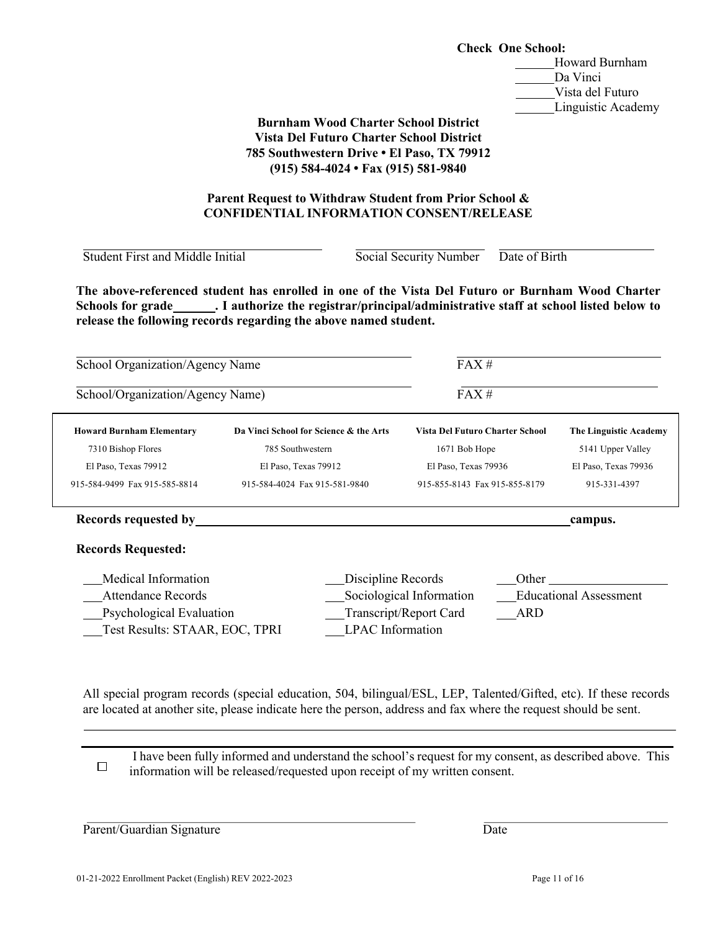|                                                                                                                | <b>Check One School:</b><br><b>Burnham Wood Charter School District</b><br><b>Vista Del Futuro Charter School District</b><br>785 Southwestern Drive . El Paso, TX 79912<br>(915) 584-4024 • Fax (915) 581-9840                     | Howard Burnham<br>Da Vinci<br>Vista del Futuro<br>Linguistic Academy      |                                      |  |
|----------------------------------------------------------------------------------------------------------------|-------------------------------------------------------------------------------------------------------------------------------------------------------------------------------------------------------------------------------------|---------------------------------------------------------------------------|--------------------------------------|--|
|                                                                                                                | Parent Request to Withdraw Student from Prior School &<br><b>CONFIDENTIAL INFORMATION CONSENT/RELEASE</b>                                                                                                                           |                                                                           |                                      |  |
| Student First and Middle Initial                                                                               |                                                                                                                                                                                                                                     | Social Security Number                                                    | Date of Birth                        |  |
| School Organization/Agency Name                                                                                | Schools for grade ________. I authorize the registrar/principal/administrative staff at school listed below to<br>release the following records regarding the above named student.                                                  | FAX#                                                                      |                                      |  |
| School/Organization/Agency Name)                                                                               |                                                                                                                                                                                                                                     | FAX#                                                                      |                                      |  |
| <b>Howard Burnham Elementary</b>                                                                               | Da Vinci School for Science & the Arts                                                                                                                                                                                              | Vista Del Futuro Charter School                                           | The Linguistic Academy               |  |
| 7310 Bishop Flores                                                                                             | 785 Southwestern                                                                                                                                                                                                                    | 1671 Bob Hope                                                             | 5141 Upper Valley                    |  |
| El Paso, Texas 79912<br>915-584-9499 Fax 915-585-8814                                                          | El Paso, Texas 79912<br>915-584-4024 Fax 915-581-9840                                                                                                                                                                               | El Paso, Texas 79936<br>915-855-8143 Fax 915-855-8179                     | El Paso, Texas 79936<br>915-331-4397 |  |
| Records requested by                                                                                           |                                                                                                                                                                                                                                     |                                                                           | campus.                              |  |
| <b>Records Requested:</b>                                                                                      |                                                                                                                                                                                                                                     |                                                                           |                                      |  |
| Medical Information<br><b>Attendance Records</b><br>Psychological Evaluation<br>Test Results: STAAR, EOC, TPRI | Discipline Records<br><b>LPAC</b> Information                                                                                                                                                                                       | Other<br>Sociological Information<br>Transcript/Report Card<br><b>ARD</b> | <b>Educational Assessment</b>        |  |
|                                                                                                                | All special program records (special education, 504, bilingual/ESL, LEP, Talented/Gifted, etc). If these records<br>are located at another site, please indicate here the person, address and fax where the request should be sent. |                                                                           |                                      |  |
| $\Box$                                                                                                         | I have been fully informed and understand the school's request for my consent, as described above. This<br>information will be released/requested upon receipt of my written consent.                                               |                                                                           |                                      |  |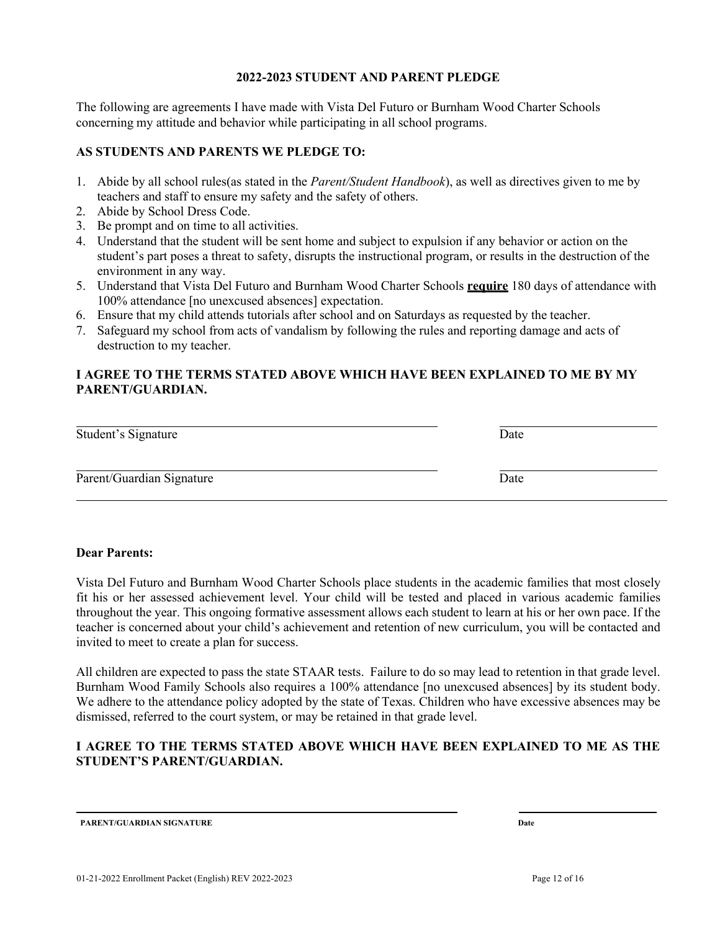## **2022-2023 STUDENT AND PARENT PLEDGE**

The following are agreements I have made with Vista Del Futuro or Burnham Wood Charter Schools concerning my attitude and behavior while participating in all school programs.

# **AS STUDENTS AND PARENTS WE PLEDGE TO:**

- 1. Abide by all school rules(as stated in the *Parent/Student Handbook*), as well as directives given to me by teachers and staff to ensure my safety and the safety of others.
- 2. Abide by School Dress Code.
- 3. Be prompt and on time to all activities.
- 4. Understand that the student will be sent home and subject to expulsion if any behavior or action on the student's part poses a threat to safety, disrupts the instructional program, or results in the destruction of the environment in any way.
- 5. Understand that Vista Del Futuro and Burnham Wood Charter Schools **require** 180 days of attendance with 100% attendance [no unexcused absences] expectation.
- 6. Ensure that my child attends tutorials after school and on Saturdays as requested by the teacher.
- 7. Safeguard my school from acts of vandalism by following the rules and reporting damage and acts of destruction to my teacher.

# **I AGREE TO THE TERMS STATED ABOVE WHICH HAVE BEEN EXPLAINED TO ME BY MY PARENT/GUARDIAN.**

| Student's Signature       | Date |  |
|---------------------------|------|--|
| Parent/Guardian Signature | Date |  |

### **Dear Parents:**

Vista Del Futuro and Burnham Wood Charter Schools place students in the academic families that most closely fit his or her assessed achievement level. Your child will be tested and placed in various academic families throughout the year. This ongoing formative assessment allows each student to learn at his or her own pace. If the teacher is concerned about your child's achievement and retention of new curriculum, you will be contacted and invited to meet to create a plan for success.

All children are expected to pass the state STAAR tests. Failure to do so may lead to retention in that grade level. Burnham Wood Family Schools also requires a 100% attendance [no unexcused absences] by its student body. We adhere to the attendance policy adopted by the state of Texas. Children who have excessive absences may be dismissed, referred to the court system, or may be retained in that grade level.

# **I AGREE TO THE TERMS STATED ABOVE WHICH HAVE BEEN EXPLAINED TO ME AS THE STUDENT'S PARENT/GUARDIAN.**

**PARENT/GUARDIAN SIGNATURE Date**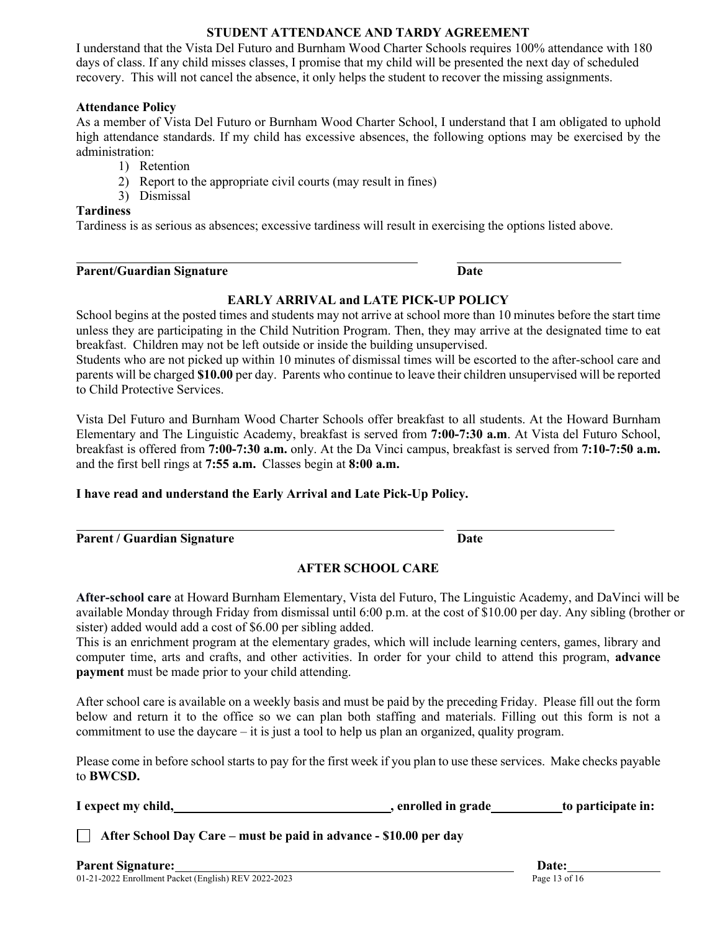# **STUDENT ATTENDANCE AND TARDY AGREEMENT**

I understand that the Vista Del Futuro and Burnham Wood Charter Schools requires 100% attendance with 180 days of class. If any child misses classes, I promise that my child will be presented the next day of scheduled recovery. This will not cancel the absence, it only helps the student to recover the missing assignments.

## **Attendance Policy**

As a member of Vista Del Futuro or Burnham Wood Charter School, I understand that I am obligated to uphold high attendance standards. If my child has excessive absences, the following options may be exercised by the administration:

- 1) Retention
- 2) Report to the appropriate civil courts (may result in fines)
- 3) Dismissal

# **Tardiness**

Tardiness is as serious as absences; excessive tardiness will result in exercising the options listed above.

| <b>Parent/Guardian Signature</b> | Date |
|----------------------------------|------|
|                                  |      |

# **EARLY ARRIVAL and LATE PICK-UP POLICY**

School begins at the posted times and students may not arrive at school more than 10 minutes before the start time unless they are participating in the Child Nutrition Program. Then, they may arrive at the designated time to eat breakfast. Children may not be left outside or inside the building unsupervised.

Students who are not picked up within 10 minutes of dismissal times will be escorted to the after-school care and parents will be charged **\$10.00** per day. Parents who continue to leave their children unsupervised will be reported to Child Protective Services.

Vista Del Futuro and Burnham Wood Charter Schools offer breakfast to all students. At the Howard Burnham Elementary and The Linguistic Academy, breakfast is served from **7:00-7:30 a.m**. At Vista del Futuro School, breakfast is offered from **7:00-7:30 a.m.** only. At the Da Vinci campus, breakfast is served from **7:10-7:50 a.m.** and the first bell rings at **7:55 a.m.** Classes begin at **8:00 a.m.**

# **I have read and understand the Early Arrival and Late Pick-Up Policy.**

| <b>Parent / Guardian Signature</b> | Date |
|------------------------------------|------|

# **AFTER SCHOOL CARE**

**After-school care** at Howard Burnham Elementary, Vista del Futuro, The Linguistic Academy, and DaVinci will be available Monday through Friday from dismissal until 6:00 p.m. at the cost of \$10.00 per day. Any sibling (brother or sister) added would add a cost of \$6.00 per sibling added.

This is an enrichment program at the elementary grades, which will include learning centers, games, library and computer time, arts and crafts, and other activities. In order for your child to attend this program, **advance payment** must be made prior to your child attending.

After school care is available on a weekly basis and must be paid by the preceding Friday. Please fill out the form below and return it to the office so we can plan both staffing and materials. Filling out this form is not a commitment to use the daycare – it is just a tool to help us plan an organized, quality program.

Please come in before school starts to pay for the first week if you plan to use these services. Make checks payable to **BWCSD.**

**I expect my child, , enrolled in grade to participate in:**

**After School Day Care – must be paid in advance - \$10.00 per day**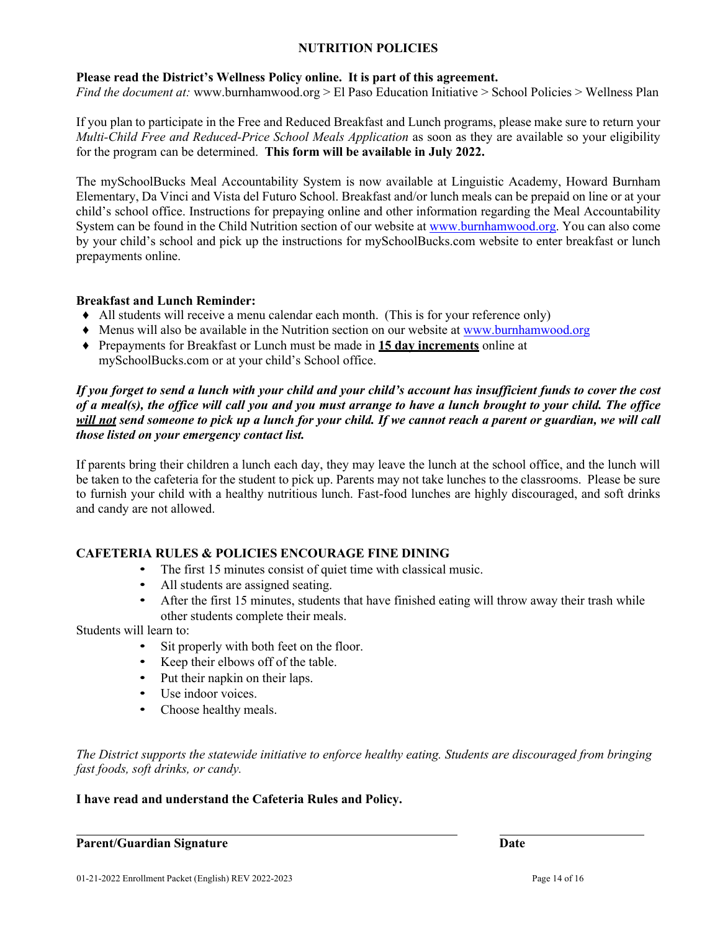# **NUTRITION POLICIES**

# **Please read the District's Wellness Policy online. It is part of this agreement.**

*Find the document at:* www.burnhamwood.org > El Paso Education Initiative > School Policies > Wellness Plan

If you plan to participate in the Free and Reduced Breakfast and Lunch programs, please make sure to return your *Multi-Child Free and Reduced-Price School Meals Application* as soon as they are available so your eligibility for the program can be determined. **This form will be available in July 2022.** 

The mySchoolBucks Meal Accountability System is now available at Linguistic Academy, Howard Burnham Elementary, Da Vinci and Vista del Futuro School. Breakfast and/or lunch meals can be prepaid on line or at your child's school office. Instructions for prepaying online and other information regarding the Meal Accountability System can be found in the Child Nutrition section of our website at www.burnhamwood.org. You can also come by your child's school and pick up the instructions for mySchoolBucks.com website to enter breakfast or lunch prepayments online.

## **Breakfast and Lunch Reminder:**

- ♦ All students will receive a menu calendar each month. (This is for your reference only)
- ♦ Menus will also be available in the Nutrition section on our website at www.burnhamwood.org
- ♦ Prepayments for Breakfast or Lunch must be made in **15 day increments** online at mySchoolBucks.com or at your child's School office.

## *If you forget to send a lunch with your child and your child's account has insufficient funds to cover the cost of a meal(s), the office will call you and you must arrange to have a lunch brought to your child. The office will not send someone to pick up a lunch for your child. If we cannot reach a parent or guardian, we will call those listed on your emergency contact list.*

If parents bring their children a lunch each day, they may leave the lunch at the school office, and the lunch will be taken to the cafeteria for the student to pick up. Parents may not take lunches to the classrooms. Please be sure to furnish your child with a healthy nutritious lunch. Fast-food lunches are highly discouraged, and soft drinks and candy are not allowed.

# **CAFETERIA RULES & POLICIES ENCOURAGE FINE DINING**

- The first 15 minutes consist of quiet time with classical music.
- All students are assigned seating.
- After the first 15 minutes, students that have finished eating will throw away their trash while other students complete their meals.

Students will learn to:

- Sit properly with both feet on the floor.
- Keep their elbows off of the table.
- Put their napkin on their laps.
- Use indoor voices.
- Choose healthy meals.

*The District supports the statewide initiative to enforce healthy eating. Students are discouraged from bringing fast foods, soft drinks, or candy.*

## **I have read and understand the Cafeteria Rules and Policy.**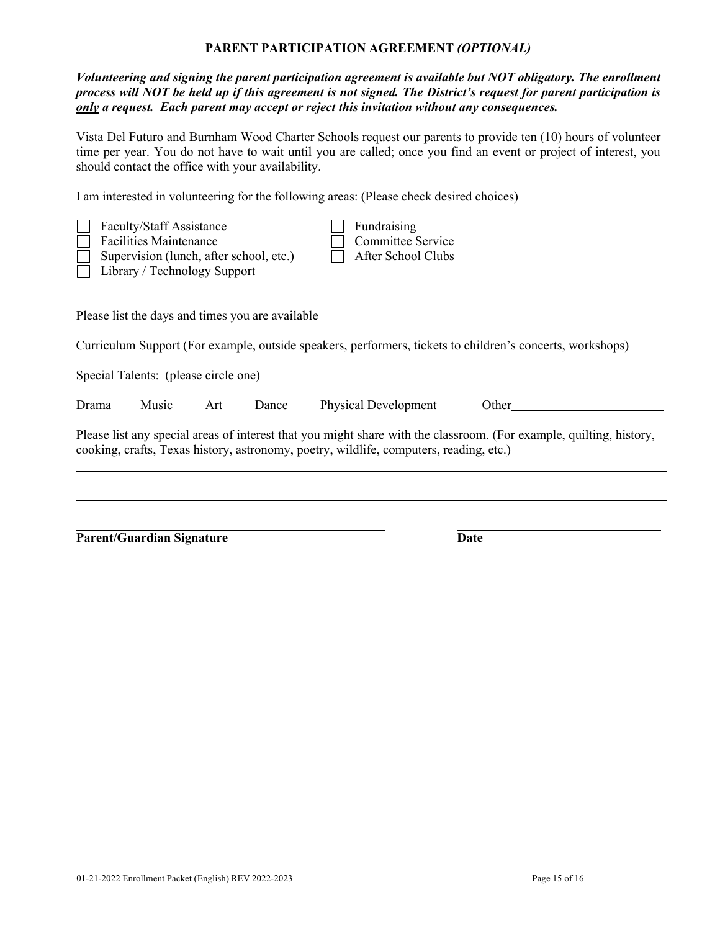## **PARENT PARTICIPATION AGREEMENT** *(OPTIONAL)*

*Volunteering and signing the parent participation agreement is available but NOT obligatory. The enrollment process will NOT be held up if this agreement is not signed. The District's request for parent participation is only a request. Each parent may accept or reject this invitation without any consequences.*

Vista Del Futuro and Burnham Wood Charter Schools request our parents to provide ten (10) hours of volunteer time per year. You do not have to wait until you are called; once you find an event or project of interest, you should contact the office with your availability.

I am interested in volunteering for the following areas: (Please check desired choices)

|                                                                                                                                                                                                               | <b>Faculty/Staff Assistance</b><br><b>Facilities Maintenance</b><br>Supervision (lunch, after school, etc.)<br>Library / Technology Support |     |       |  | Fundraising<br><b>Committee Service</b><br>After School Clubs |                                                                                                           |  |
|---------------------------------------------------------------------------------------------------------------------------------------------------------------------------------------------------------------|---------------------------------------------------------------------------------------------------------------------------------------------|-----|-------|--|---------------------------------------------------------------|-----------------------------------------------------------------------------------------------------------|--|
| Please list the days and times you are available                                                                                                                                                              |                                                                                                                                             |     |       |  |                                                               |                                                                                                           |  |
|                                                                                                                                                                                                               |                                                                                                                                             |     |       |  |                                                               | Curriculum Support (For example, outside speakers, performers, tickets to children's concerts, workshops) |  |
|                                                                                                                                                                                                               | Special Talents: (please circle one)                                                                                                        |     |       |  |                                                               |                                                                                                           |  |
| Drama                                                                                                                                                                                                         | Music                                                                                                                                       | Art | Dance |  | Physical Development                                          | Other                                                                                                     |  |
| Please list any special areas of interest that you might share with the classroom. (For example, quilting, history,<br>cooking, crafts, Texas history, astronomy, poetry, wildlife, computers, reading, etc.) |                                                                                                                                             |     |       |  |                                                               |                                                                                                           |  |
|                                                                                                                                                                                                               |                                                                                                                                             |     |       |  |                                                               |                                                                                                           |  |